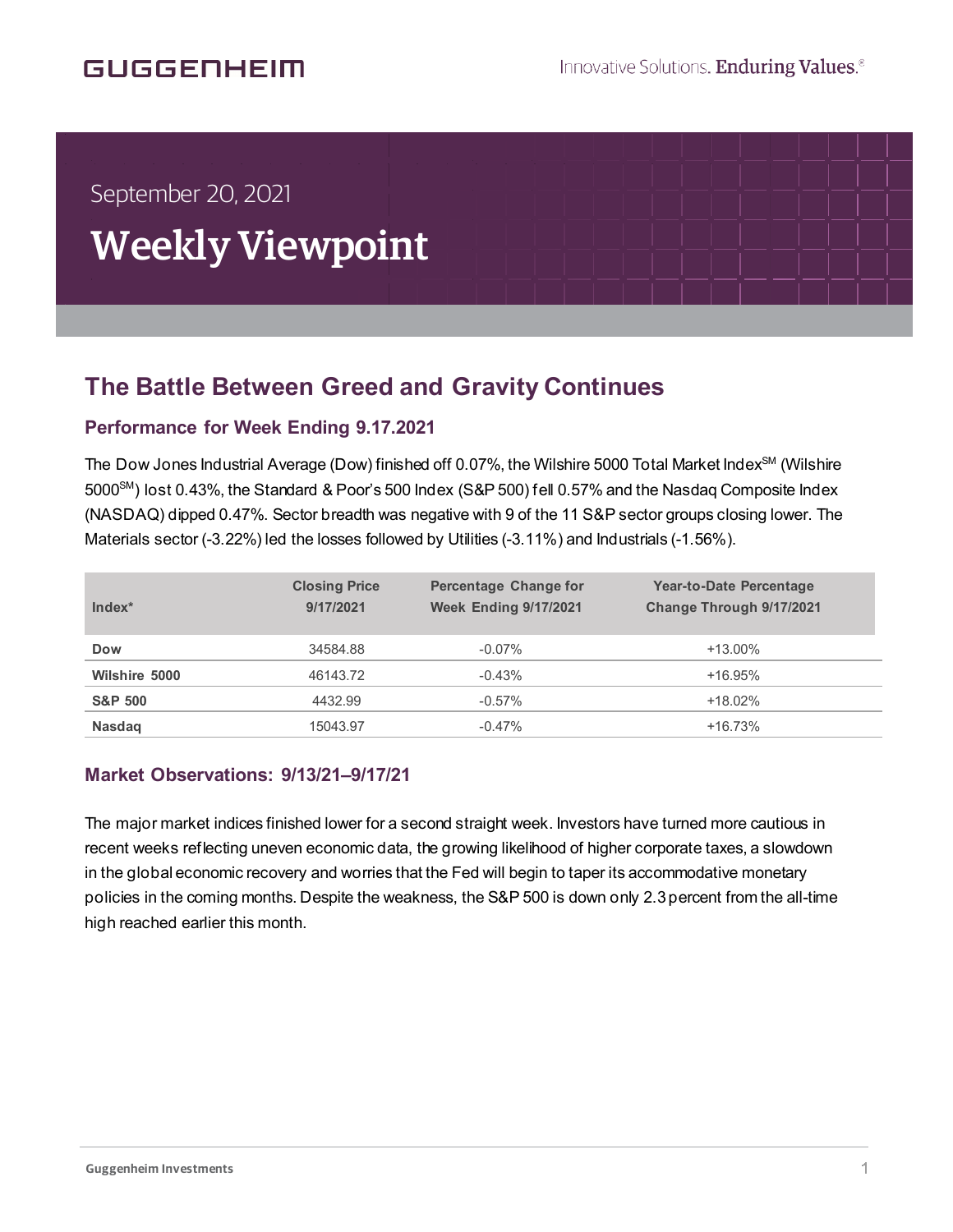# **GUGGENHEIM**

í

# September 20, 2021 Weekly Viewpoint

## **The Battle Between Greed and Gravity Continues** .<br>f

### **Performance for Week Ending 9.17.2021**

The Dow Jones Industrial Average (Dow) finished off 0.07%, the Wilshire 5000 Total Market Index<sup>SM</sup> (Wilshire 5000<sup>SM</sup>) lost 0.43%, the Standard & Poor's 500 Index (S&P 500) fell 0.57% and the Nasdaq Composite Index (NASDAQ) dipped 0.47%. Sector breadth was negative with 9 of the 11 S&P sector groups closing lower. The Materials sector (-3.22%) led the losses followed by Utilities (-3.11%) and Industrials (-1.56%).

| Index*             | <b>Closing Price</b><br>9/17/2021 | Percentage Change for<br><b>Week Ending 9/17/2021</b> | Year-to-Date Percentage<br>Change Through 9/17/2021 |
|--------------------|-----------------------------------|-------------------------------------------------------|-----------------------------------------------------|
| <b>Dow</b>         | 34584.88                          | $-0.07\%$                                             | $+13.00\%$                                          |
| Wilshire 5000      | 46143.72                          | $-0.43%$                                              | $+16.95%$                                           |
| <b>S&amp;P 500</b> | 4432.99                           | $-0.57%$                                              | $+18.02%$                                           |
| <b>Nasdaq</b>      | 15043.97                          | $-0.47%$                                              | $+16.73%$                                           |

#### **Market Observations: 9/13/21–9/17/21**

The major market indices finished lower for a second straight week. Investors have turned more cautious in recent weeks reflecting uneven economic data, the growing likelihood of higher corporate taxes, a slowdown in the global economic recovery and worries that the Fed will begin to taper its accommodative monetary policies in the coming months. Despite the weakness, the S&P 500 is down only 2.3percent from the all-time high reached earlier this month.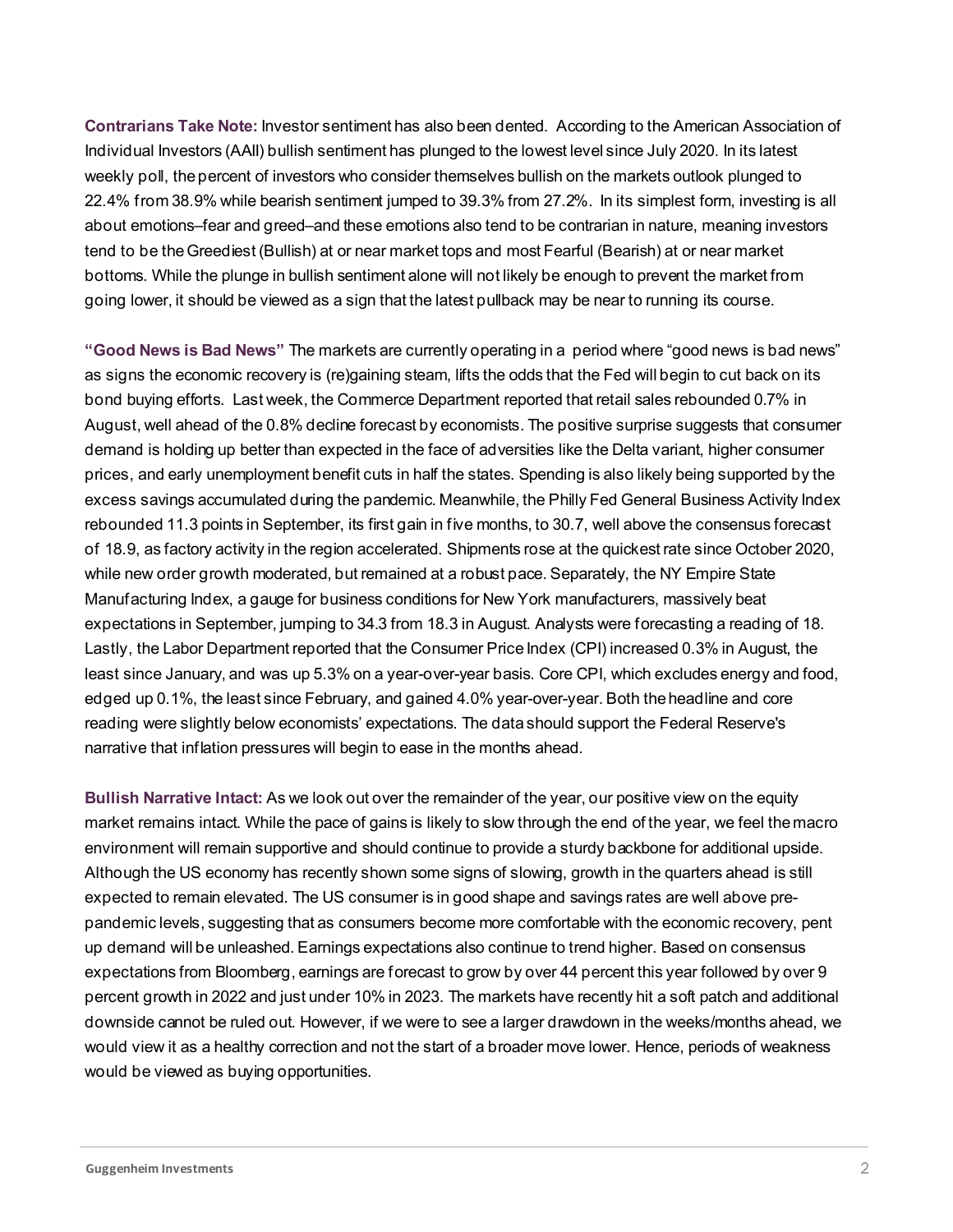**Contrarians Take Note:** Investor sentiment has also been dented. According to the American Association of Individual Investors (AAII) bullish sentiment has plunged to the lowest level since July 2020. In its latest weekly poll, the percent of investors who consider themselves bullish on the markets outlook plunged to 22.4% from 38.9% while bearish sentiment jumped to 39.3% from 27.2%. In its simplest form, investing is all about emotions–fear and greed–and these emotions also tend to be contrarian in nature, meaning investors tend to be the Greediest (Bullish) at or near market tops and most Fearful (Bearish) at or near market bottoms. While the plunge in bullish sentiment alone will not likely be enough to prevent the market from going lower, it should be viewed as a sign that the latest pullback may be near to running its course.

**"Good News is Bad News"** The markets are currently operating in a period where "good news is bad news" as signs the economic recovery is (re)gaining steam, lifts the odds that the Fed will begin to cut back on its bond buying efforts. Last week, the Commerce Department reported that retail sales rebounded 0.7% in August, well ahead of the 0.8% decline forecast by economists. The positive surprise suggests that consumer demand is holding up better than expected in the face of adversities like the Delta variant, higher consumer prices, and early unemployment benefit cuts in half the states. Spending is also likely being supported by the excess savings accumulated during the pandemic. Meanwhile, the Philly Fed General Business Activity Index rebounded 11.3 points in September, its first gain in five months, to 30.7, well above the consensus forecast of 18.9, as factory activity in the region accelerated. Shipments rose at the quickest rate since October 2020, while new order growth moderated, but remained at a robust pace. Separately, the NY Empire State Manufacturing Index, a gauge for business conditions for New York manufacturers, massively beat expectations in September, jumping to 34.3 from 18.3 in August. Analysts were forecasting a reading of 18. Lastly, the Labor Department reported that the Consumer Price Index (CPI) increased 0.3% in August, the least since January, and was up 5.3% on a year-over-year basis. Core CPI, which excludes energy and food, edged up 0.1%, the least since February, and gained 4.0% year-over-year. Both the headline and core reading were slightly below economists' expectations. The data should support the Federal Reserve's narrative that inflation pressures will begin to ease in the months ahead.

**Bullish Narrative Intact:** As we look out over the remainder of the year, our positive view on the equity market remains intact. While the pace of gains is likely to slow through the end of the year, we feel the macro environment will remain supportive and should continue to provide a sturdy backbone for additional upside. Although the US economy has recently shown some signs of slowing, growth in the quarters ahead is still expected to remain elevated. The US consumer is in good shape and savings rates are well above prepandemic levels, suggesting that as consumers become more comfortable with the economic recovery, pent up demand will be unleashed. Earnings expectations also continue to trend higher. Based on consensus expectations from Bloomberg, earnings are forecast to grow by over 44 percent this year followed by over 9 percent growth in 2022 and just under 10% in 2023. The markets have recently hit a soft patch and additional downside cannot be ruled out. However, if we were to see a larger drawdown in the weeks/months ahead, we would view it as a healthy correction and not the start of a broader move lower. Hence, periods of weakness would be viewed as buying opportunities.